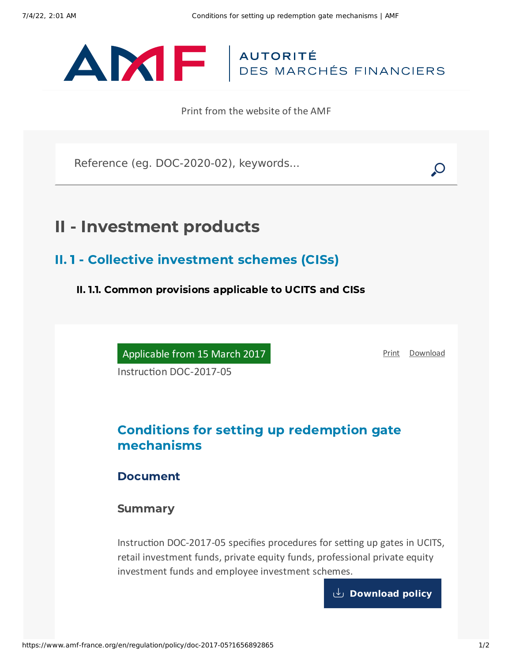

Print from the website of the AMF

Reference (eg. DOC-2020-02), keywords...

## II - Investment products

II. 1 - Collective investment schemes (CISs)

II. 1.1. Common provisions applicable to UCITS and CISs

Applicable from 15 March 2017

Instruction DOC-2017-05

[Print](javascript:window.print()) [Download](https://www.amf-france.org/sites/default/files/pdf/63003/en/Conditions_for_setting_up_redemption_gate_mechanisms.pdf?1656892867)

## Conditions for setting up redemption gate mechanisms

Document

**Summary** 

Instruction DOC-2017-05 specifies procedures for setting up gates in UCITS, retail investment funds, private equity funds, professional private equity investment funds and employee investment schemes.

**[Download](https://www.amf-france.org/sites/default/files/doctrine/en/Instruction/DOC-2017-05/1.0/Conditions%20for%20setting%20up%20redemption%20gate%20mechanisms.pdf) policy**